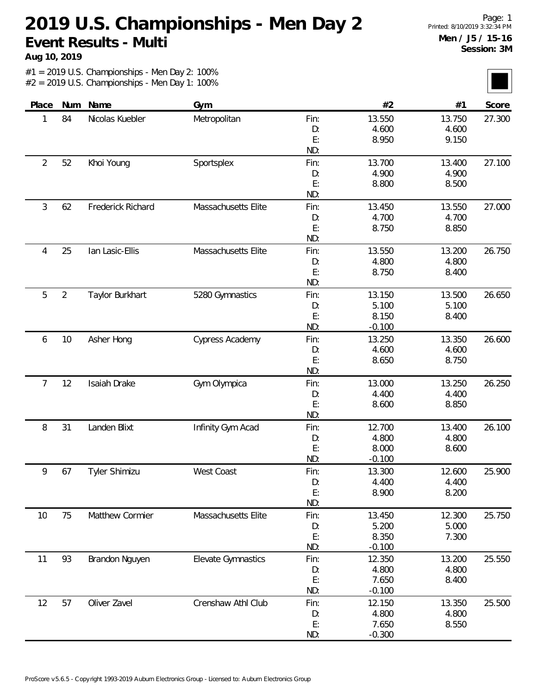**Aug 10, 2019**

|                | Num            | Name                     |                     |            | #2             | #1              |        |
|----------------|----------------|--------------------------|---------------------|------------|----------------|-----------------|--------|
| Place          |                |                          | Gym                 |            |                |                 | Score  |
| 1              | 84             | Nicolas Kuebler          | Metropolitan        | Fin:       | 13.550         | 13.750          | 27.300 |
|                |                |                          |                     | D:<br>E:   | 4.600<br>8.950 | 4.600<br>9.150  |        |
|                |                |                          |                     | ND:        |                |                 |        |
| $\overline{2}$ | 52             |                          | Sportsplex          |            | 13.700         |                 | 27.100 |
|                |                | Khoi Young               |                     | Fin:<br>D: | 4.900          | 13.400<br>4.900 |        |
|                |                |                          |                     | E:         | 8.800          | 8.500           |        |
|                |                |                          |                     | ND:        |                |                 |        |
| $\mathfrak{Z}$ | 62             | <b>Frederick Richard</b> | Massachusetts Elite | Fin:       | 13.450         | 13.550          | 27.000 |
|                |                |                          |                     | D:         | 4.700          | 4.700           |        |
|                |                |                          |                     | E:         | 8.750          | 8.850           |        |
|                |                |                          |                     | ND:        |                |                 |        |
| 4              | 25             | lan Lasic-Ellis          | Massachusetts Elite | Fin:       | 13.550         | 13.200          | 26.750 |
|                |                |                          |                     | D:         | 4.800          | 4.800           |        |
|                |                |                          |                     | E:         | 8.750          | 8.400           |        |
|                |                |                          |                     | ND:        |                |                 |        |
| 5              | $\overline{2}$ | Taylor Burkhart          |                     | Fin:       | 13.150         | 13.500          | 26.650 |
|                |                |                          | 5280 Gymnastics     |            | 5.100          | 5.100           |        |
|                |                |                          |                     | D:<br>E:   | 8.150          | 8.400           |        |
|                |                |                          |                     | ND:        | $-0.100$       |                 |        |
|                |                |                          |                     |            |                |                 |        |
| 6              | 10             | Asher Hong               | Cypress Academy     | Fin:       | 13.250         | 13.350          | 26.600 |
|                |                |                          |                     | D:         | 4.600          | 4.600           |        |
|                |                |                          |                     | E:<br>ND:  | 8.650          | 8.750           |        |
| $\overline{7}$ | 12             | Isaiah Drake             |                     |            | 13.000         | 13.250          | 26.250 |
|                |                |                          | Gym Olympica        | Fin:<br>D: | 4.400          | 4.400           |        |
|                |                |                          |                     | E:         | 8.600          | 8.850           |        |
|                |                |                          |                     | ND:        |                |                 |        |
| 8              | 31             | Landen Blixt             | Infinity Gym Acad   | Fin:       | 12.700         | 13.400          | 26.100 |
|                |                |                          |                     | D:         | 4.800          | 4.800           |        |
|                |                |                          |                     | E:         | 8.000          | 8.600           |        |
|                |                |                          |                     | ND:        | $-0.100$       |                 |        |
| 9              | 67             | Tyler Shimizu            | West Coast          | Fin:       | 13.300         | 12.600          | 25.900 |
|                |                |                          |                     | D:         | 4.400          | 4.400           |        |
|                |                |                          |                     | E:         | 8.900          | 8.200           |        |
|                |                |                          |                     | ND:        |                |                 |        |
| 10             | 75             | Matthew Cormier          | Massachusetts Elite | Fin:       | 13.450         | 12.300          | 25.750 |
|                |                |                          |                     | D:         | 5.200          | 5.000           |        |
|                |                |                          |                     | E:         | 8.350          | 7.300           |        |
|                |                |                          |                     | ND:        | $-0.100$       |                 |        |
| 11             | 93             | Brandon Nguyen           | Elevate Gymnastics  | Fin:       | 12.350         | 13.200          | 25.550 |
|                |                |                          |                     | D:         | 4.800          | 4.800           |        |
|                |                |                          |                     | E:         | 7.650          | 8.400           |        |
|                |                |                          |                     | ND:        | $-0.100$       |                 |        |
| 12             | 57             | Oliver Zavel             | Crenshaw Athl Club  | Fin:       | 12.150         | 13.350          | 25.500 |
|                |                |                          |                     | D:         | 4.800          | 4.800           |        |
|                |                |                          |                     | E:         | 7.650          | 8.550           |        |
|                |                |                          |                     | ND:        | $-0.300$       |                 |        |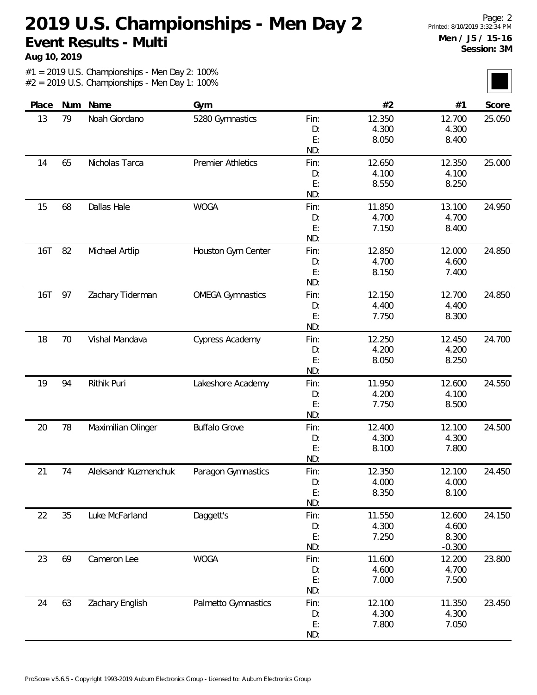**Aug 10, 2019**

| Place      | Num    | Name                 | Gym                      |           | #2     | #1       | Score  |
|------------|--------|----------------------|--------------------------|-----------|--------|----------|--------|
| 13         | 79     | Noah Giordano        | 5280 Gymnastics          | Fin:      | 12.350 | 12.700   | 25.050 |
|            |        |                      |                          | D:        | 4.300  | 4.300    |        |
|            |        |                      |                          | E:        | 8.050  | 8.400    |        |
|            |        |                      |                          | ND:       |        |          |        |
| 14         | 65     | Nicholas Tarca       | <b>Premier Athletics</b> | Fin:      | 12.650 | 12.350   | 25.000 |
|            |        |                      |                          | D:        | 4.100  | 4.100    |        |
|            |        |                      |                          | E:        | 8.550  | 8.250    |        |
|            |        |                      |                          | ND:       |        |          |        |
| 15         | 68     | Dallas Hale          | <b>WOGA</b>              | Fin:      | 11.850 | 13.100   | 24.950 |
|            |        |                      |                          | D:        | 4.700  | 4.700    |        |
|            |        |                      |                          | E:        | 7.150  | 8.400    |        |
|            |        |                      |                          | ND:       |        |          |        |
| 16T        | 82     | Michael Artlip       | Houston Gym Center       | Fin:      | 12.850 | 12.000   | 24.850 |
|            |        |                      |                          | D:        | 4.700  | 4.600    |        |
|            |        |                      |                          | E:        | 8.150  | 7.400    |        |
|            |        |                      |                          | ND:       |        |          |        |
| <b>16T</b> | 97     | Zachary Tiderman     | <b>OMEGA Gymnastics</b>  | Fin:      | 12.150 | 12.700   | 24.850 |
|            |        |                      |                          | D:        | 4.400  | 4.400    |        |
|            |        |                      |                          | E:        | 7.750  | 8.300    |        |
|            |        |                      |                          | ND:       |        |          |        |
| 18         | 70     | Vishal Mandava       | Cypress Academy          | Fin:      | 12.250 | 12.450   | 24.700 |
|            |        |                      |                          | D:        | 4.200  | 4.200    |        |
|            |        |                      |                          | E:<br>ND: | 8.050  | 8.250    |        |
| 19         | 94     | Rithik Puri          | Lakeshore Academy        | Fin:      | 11.950 | 12.600   | 24.550 |
|            |        |                      |                          | D:        | 4.200  | 4.100    |        |
|            |        |                      |                          | E:        | 7.750  | 8.500    |        |
|            |        |                      |                          | ND:       |        |          |        |
| 20         | 78     | Maximilian Olinger   | <b>Buffalo Grove</b>     | Fin:      | 12.400 | 12.100   | 24.500 |
|            |        |                      |                          | D:        | 4.300  | 4.300    |        |
|            |        |                      |                          | E:        | 8.100  | 7.800    |        |
|            |        |                      |                          | ND:       |        |          |        |
| 21         | 74     | Aleksandr Kuzmenchuk | Paragon Gymnastics       | Fin:      | 12.350 | 12.100   | 24.450 |
|            |        |                      |                          | D:        | 4.000  | 4.000    |        |
|            |        |                      |                          | E:        | 8.350  | 8.100    |        |
|            |        |                      |                          | ND:       |        |          |        |
| 22         | $35\,$ | Luke McFarland       | Daggett's                | Fin:      | 11.550 | 12.600   | 24.150 |
|            |        |                      |                          | D:        | 4.300  | 4.600    |        |
|            |        |                      |                          | E:        | 7.250  | 8.300    |        |
|            |        |                      |                          | ND:       |        | $-0.300$ |        |
| 23         | 69     | Cameron Lee          | <b>WOGA</b>              | Fin:      | 11.600 | 12.200   | 23.800 |
|            |        |                      |                          | D:        | 4.600  | 4.700    |        |
|            |        |                      |                          | E:        | 7.000  | 7.500    |        |
|            |        |                      |                          | ND:       |        |          |        |
| 24         | 63     | Zachary English      | Palmetto Gymnastics      | Fin:      | 12.100 | 11.350   | 23.450 |
|            |        |                      |                          | D:        | 4.300  | 4.300    |        |
|            |        |                      |                          | E:        | 7.800  | 7.050    |        |
|            |        |                      |                          | ND:       |        |          |        |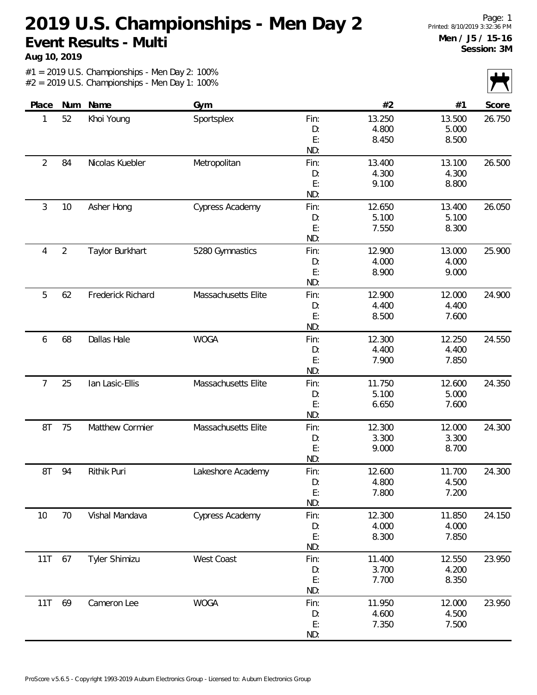**Aug 10, 2019**

|                |                |                   |                        |      |        |        | $\sim$ $\sim$ |
|----------------|----------------|-------------------|------------------------|------|--------|--------|---------------|
| Place          | Num            | Name              | Gym                    |      | #2     | #1     | Score         |
| 1              | 52             | Khoi Young        | Sportsplex             | Fin: | 13.250 | 13.500 | 26.750        |
|                |                |                   |                        | D:   | 4.800  | 5.000  |               |
|                |                |                   |                        | E:   | 8.450  | 8.500  |               |
|                |                |                   |                        | ND:  |        |        |               |
| $\overline{2}$ | 84             | Nicolas Kuebler   | Metropolitan           | Fin: | 13.400 | 13.100 | 26.500        |
|                |                |                   |                        | D:   | 4.300  | 4.300  |               |
|                |                |                   |                        | E:   | 9.100  | 8.800  |               |
|                |                |                   |                        | ND:  |        |        |               |
| 3              | 10             | Asher Hong        | Cypress Academy        | Fin: | 12.650 | 13.400 | 26.050        |
|                |                |                   |                        | D:   | 5.100  | 5.100  |               |
|                |                |                   |                        | E:   | 7.550  | 8.300  |               |
|                |                |                   |                        | ND:  |        |        |               |
| 4              | $\overline{2}$ | Taylor Burkhart   | 5280 Gymnastics        | Fin: | 12.900 | 13.000 | 25.900        |
|                |                |                   |                        | D:   | 4.000  | 4.000  |               |
|                |                |                   |                        | E:   | 8.900  | 9.000  |               |
|                |                |                   |                        | ND:  |        |        |               |
| 5              | 62             | Frederick Richard | Massachusetts Elite    | Fin: | 12.900 | 12.000 | 24.900        |
|                |                |                   |                        | D:   | 4.400  | 4.400  |               |
|                |                |                   |                        | E:   | 8.500  | 7.600  |               |
|                |                |                   |                        | ND:  |        |        |               |
| 6              | 68             | Dallas Hale       | <b>WOGA</b>            | Fin: | 12.300 | 12.250 | 24.550        |
|                |                |                   |                        | D:   | 4.400  | 4.400  |               |
|                |                |                   |                        | E:   | 7.900  | 7.850  |               |
|                |                |                   |                        | ND:  |        |        |               |
| 7              | 25             | lan Lasic-Ellis   | Massachusetts Elite    | Fin: | 11.750 | 12.600 | 24.350        |
|                |                |                   |                        | D:   | 5.100  | 5.000  |               |
|                |                |                   |                        | E:   | 6.650  | 7.600  |               |
|                |                |                   |                        | ND:  |        |        |               |
| 8T             | 75             | Matthew Cormier   | Massachusetts Elite    | Fin: | 12.300 | 12.000 | 24.300        |
|                |                |                   |                        | D:   | 3.300  | 3.300  |               |
|                |                |                   |                        | E:   | 9.000  | 8.700  |               |
|                |                |                   |                        | ND:  |        |        |               |
| 8T             | 94             | Rithik Puri       | Lakeshore Academy      | Fin: | 12.600 | 11.700 | 24.300        |
|                |                |                   |                        | D:   | 4.800  | 4.500  |               |
|                |                |                   |                        | E:   | 7.800  | 7.200  |               |
|                |                |                   |                        | ND:  |        |        |               |
| 10             | 70             | Vishal Mandava    | <b>Cypress Academy</b> | Fin: | 12.300 | 11.850 | 24.150        |
|                |                |                   |                        | D:   | 4.000  | 4.000  |               |
|                |                |                   |                        | E:   | 8.300  | 7.850  |               |
|                |                |                   |                        | ND:  |        |        |               |
| 11T            | 67             | Tyler Shimizu     | West Coast             | Fin: | 11.400 | 12.550 | 23.950        |
|                |                |                   |                        | D:   | 3.700  | 4.200  |               |
|                |                |                   |                        | E:   | 7.700  | 8.350  |               |
|                |                |                   |                        | ND:  |        |        |               |
| 11T            | 69             | Cameron Lee       | <b>WOGA</b>            | Fin: | 11.950 | 12.000 | 23.950        |
|                |                |                   |                        | D:   | 4.600  | 4.500  |               |
|                |                |                   |                        | E:   | 7.350  | 7.500  |               |
|                |                |                   |                        | ND:  |        |        |               |
|                |                |                   |                        |      |        |        |               |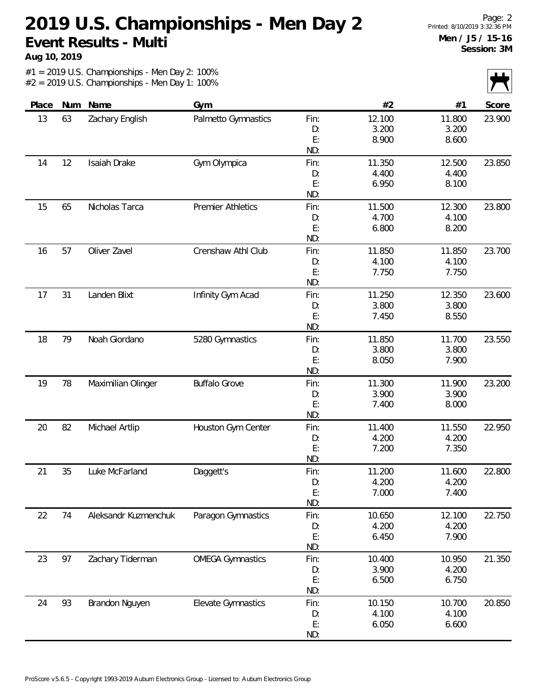**Aug 10, 2019**

|       |     |                      |                          |          |        |                | $\mathbf{v}$ |
|-------|-----|----------------------|--------------------------|----------|--------|----------------|--------------|
| Place | Num | Name                 | Gym                      |          | #2     | #1             | Score        |
| 13    | 63  | Zachary English      | Palmetto Gymnastics      | Fin:     | 12.100 | 11.800         | 23.900       |
|       |     |                      |                          | D:       | 3.200  | 3.200          |              |
|       |     |                      |                          | E:       | 8.900  | 8.600          |              |
|       |     |                      |                          | ND:      |        |                |              |
| 14    | 12  | Isaiah Drake         | Gym Olympica             | Fin:     | 11.350 | 12.500         | 23.850       |
|       |     |                      |                          | D:       | 4.400  | 4.400          |              |
|       |     |                      |                          | E:       | 6.950  | 8.100          |              |
|       |     |                      |                          | ND:      |        |                |              |
| 15    | 65  | Nicholas Tarca       | <b>Premier Athletics</b> | Fin:     | 11.500 | 12.300         | 23.800       |
|       |     |                      |                          | D:       | 4.700  | 4.100          |              |
|       |     |                      |                          | E:       | 6.800  | 8.200          |              |
|       |     |                      |                          | ND:      |        |                |              |
| 16    | 57  | Oliver Zavel         | Crenshaw Athl Club       | Fin:     | 11.850 | 11.850         | 23.700       |
|       |     |                      |                          | D:       | 4.100  | 4.100          |              |
|       |     |                      |                          | E:       | 7.750  | 7.750          |              |
|       |     |                      |                          | ND:      |        |                |              |
| 17    | 31  | Landen Blixt         | Infinity Gym Acad        | Fin:     | 11.250 | 12.350         | 23.600       |
|       |     |                      |                          | D:       | 3.800  | 3.800          |              |
|       |     |                      |                          | E:       | 7.450  | 8.550          |              |
|       |     |                      |                          | ND:      |        |                |              |
| 18    | 79  | Noah Giordano        | 5280 Gymnastics          | Fin:     | 11.850 | 11.700         | 23.550       |
|       |     |                      |                          | D:       | 3.800  | 3.800          |              |
|       |     |                      |                          | E:       | 8.050  | 7.900          |              |
|       |     |                      |                          | ND:      |        |                |              |
| 19    | 78  | Maximilian Olinger   | <b>Buffalo Grove</b>     | Fin:     | 11.300 | 11.900         | 23.200       |
|       |     |                      |                          | D:       | 3.900  | 3.900          |              |
|       |     |                      |                          | E:       | 7.400  | 8.000          |              |
|       |     |                      |                          | ND:      |        |                |              |
| 20    | 82  | Michael Artlip       | Houston Gym Center       | Fin:     | 11.400 | 11.550         | 22.950       |
|       |     |                      |                          | D:       | 4.200  | 4.200          |              |
|       |     |                      |                          | E:       | 7.200  | 7.350          |              |
|       |     |                      |                          | ND:      |        |                |              |
| 21    | 35  | Luke McFarland       | Daggett's                | Fin:     | 11.200 | 11.600         | 22.800       |
|       |     |                      |                          | D:<br>E: | 4.200  | 4.200<br>7.400 |              |
|       |     |                      |                          | ND:      | 7.000  |                |              |
| 22    | 74  | Aleksandr Kuzmenchuk | Paragon Gymnastics       | Fin:     | 10.650 | 12.100         | 22.750       |
|       |     |                      |                          | D:       | 4.200  | 4.200          |              |
|       |     |                      |                          | E:       | 6.450  | 7.900          |              |
|       |     |                      |                          | ND:      |        |                |              |
| 23    | 97  | Zachary Tiderman     | <b>OMEGA Gymnastics</b>  | Fin:     | 10.400 | 10.950         | 21.350       |
|       |     |                      |                          | D:       | 3.900  | 4.200          |              |
|       |     |                      |                          | E:       | 6.500  | 6.750          |              |
|       |     |                      |                          | ND:      |        |                |              |
| 24    | 93  | Brandon Nguyen       | Elevate Gymnastics       | Fin:     | 10.150 | 10.700         | 20.850       |
|       |     |                      |                          | D:       | 4.100  | 4.100          |              |
|       |     |                      |                          | E:       | 6.050  | 6.600          |              |
|       |     |                      |                          | ND:      |        |                |              |
|       |     |                      |                          |          |        |                |              |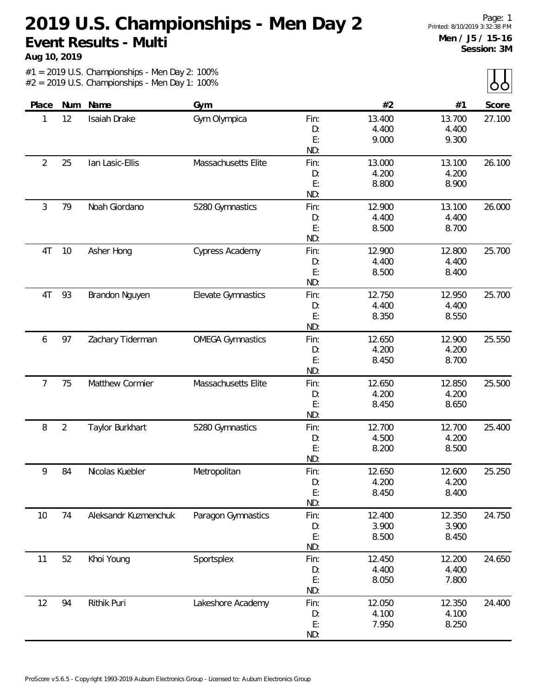**Aug 10, 2019**

 $\lambda$ 

| Num<br>Name<br>#2<br>Place<br>Gym<br>#1<br>12<br>Isaiah Drake<br>Gym Olympica<br>Fin:<br>13.400<br>13.700<br>1<br>4.400<br>4.400<br>D:<br>E:<br>9.000<br>9.300<br>ND:<br>$\overline{2}$<br>25<br>lan Lasic-Ellis<br>Massachusetts Elite<br>Fin:<br>13.000<br>13.100<br>4.200<br>4.200<br>D:<br>E:<br>8.800<br>8.900<br>ND: | Score<br>27.100 |
|----------------------------------------------------------------------------------------------------------------------------------------------------------------------------------------------------------------------------------------------------------------------------------------------------------------------------|-----------------|
|                                                                                                                                                                                                                                                                                                                            |                 |
|                                                                                                                                                                                                                                                                                                                            |                 |
|                                                                                                                                                                                                                                                                                                                            |                 |
|                                                                                                                                                                                                                                                                                                                            |                 |
|                                                                                                                                                                                                                                                                                                                            |                 |
|                                                                                                                                                                                                                                                                                                                            | 26.100          |
|                                                                                                                                                                                                                                                                                                                            |                 |
|                                                                                                                                                                                                                                                                                                                            |                 |
|                                                                                                                                                                                                                                                                                                                            |                 |
| 3<br>Noah Giordano<br>79<br>5280 Gymnastics<br>12.900<br>13.100<br>Fin:                                                                                                                                                                                                                                                    | 26.000          |
| 4.400<br>4.400<br>D:                                                                                                                                                                                                                                                                                                       |                 |
| E:<br>8.500<br>8.700                                                                                                                                                                                                                                                                                                       |                 |
| ND:                                                                                                                                                                                                                                                                                                                        |                 |
| $10$<br>12.900<br>4T<br>Asher Hong<br>Cypress Academy<br>Fin:<br>12.800                                                                                                                                                                                                                                                    | 25.700          |
| 4.400<br>4.400<br>D:                                                                                                                                                                                                                                                                                                       |                 |
| E:<br>8.500<br>8.400                                                                                                                                                                                                                                                                                                       |                 |
| ND:                                                                                                                                                                                                                                                                                                                        |                 |
| 4T<br>93<br>Elevate Gymnastics<br>12.750<br>Brandon Nguyen<br>Fin:<br>12.950                                                                                                                                                                                                                                               | 25.700          |
| 4.400<br>4.400<br>D:                                                                                                                                                                                                                                                                                                       |                 |
| E:<br>8.350<br>8.550                                                                                                                                                                                                                                                                                                       |                 |
| ND:                                                                                                                                                                                                                                                                                                                        |                 |
| 97<br><b>OMEGA Gymnastics</b><br>Zachary Tiderman<br>Fin:<br>12.650<br>12.900<br>6                                                                                                                                                                                                                                         | 25.550          |
| 4.200<br>4.200<br>D:                                                                                                                                                                                                                                                                                                       |                 |
| E:<br>8.450<br>8.700                                                                                                                                                                                                                                                                                                       |                 |
| ND:                                                                                                                                                                                                                                                                                                                        |                 |
| 7<br>Matthew Cormier<br>Massachusetts Elite<br>12.650<br>75<br>12.850<br>Fin:                                                                                                                                                                                                                                              | 25.500          |
| 4.200<br>4.200<br>D:                                                                                                                                                                                                                                                                                                       |                 |
| E:<br>8.450<br>8.650                                                                                                                                                                                                                                                                                                       |                 |
| ND:                                                                                                                                                                                                                                                                                                                        |                 |
| $\overline{2}$<br>8<br>Taylor Burkhart<br>5280 Gymnastics<br>Fin:<br>12.700<br>12.700                                                                                                                                                                                                                                      | 25.400          |
| 4.200<br>4.500<br>D:                                                                                                                                                                                                                                                                                                       |                 |
| E:<br>8.500<br>8.200                                                                                                                                                                                                                                                                                                       |                 |
| ND:                                                                                                                                                                                                                                                                                                                        |                 |
| 12.650<br>Nicolas Kuebler<br>12.600<br>9<br>84<br>Metropolitan<br>Fin:                                                                                                                                                                                                                                                     | 25.250          |
| 4.200<br>4.200<br>D:                                                                                                                                                                                                                                                                                                       |                 |
| E:<br>8.400<br>8.450                                                                                                                                                                                                                                                                                                       |                 |
| ND:                                                                                                                                                                                                                                                                                                                        |                 |
| Paragon Gymnastics<br>74<br>Aleksandr Kuzmenchuk<br>Fin:<br>12.400<br>12.350<br>10                                                                                                                                                                                                                                         | 24.750          |
| 3.900<br>3.900<br>D:                                                                                                                                                                                                                                                                                                       |                 |
| E:<br>8.500<br>8.450                                                                                                                                                                                                                                                                                                       |                 |
| ND:                                                                                                                                                                                                                                                                                                                        |                 |
| 52<br>Khoi Young<br>Sportsplex<br>12.450<br>11<br>Fin:<br>12.200                                                                                                                                                                                                                                                           | 24.650          |
| 4.400<br>4.400<br>D:                                                                                                                                                                                                                                                                                                       |                 |
| E:<br>8.050<br>7.800                                                                                                                                                                                                                                                                                                       |                 |
| ND:                                                                                                                                                                                                                                                                                                                        |                 |
| 94<br>Rithik Puri<br>Lakeshore Academy<br>12.050<br>12<br>Fin:<br>12.350                                                                                                                                                                                                                                                   | 24.400          |
| 4.100<br>4.100<br>D:                                                                                                                                                                                                                                                                                                       |                 |
| E:<br>7.950<br>8.250                                                                                                                                                                                                                                                                                                       |                 |
| ND:                                                                                                                                                                                                                                                                                                                        |                 |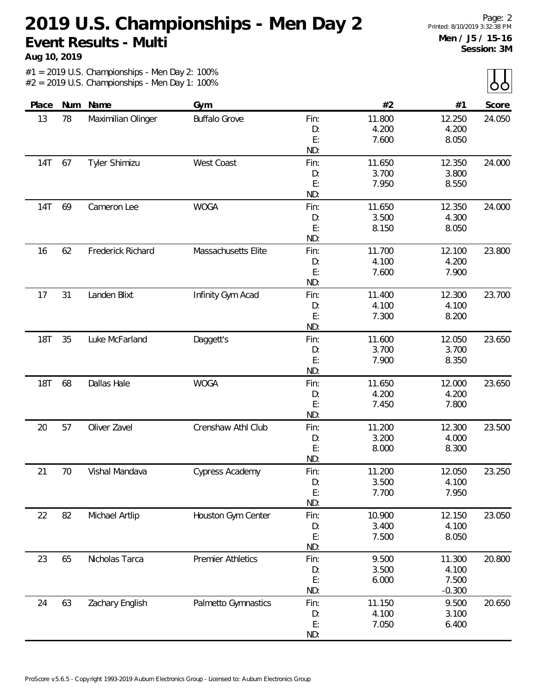**Aug 10, 2019**

 $\lambda$ 

|            |     |                    |                          |      |        |          | $\sim$ $\sim$ |
|------------|-----|--------------------|--------------------------|------|--------|----------|---------------|
| Place      | Num | Name               | Gym                      |      | #2     | #1       | Score         |
| 13         | 78  | Maximilian Olinger | <b>Buffalo Grove</b>     | Fin: | 11.800 | 12.250   | 24.050        |
|            |     |                    |                          | D:   | 4.200  | 4.200    |               |
|            |     |                    |                          | E:   | 7.600  | 8.050    |               |
|            |     |                    |                          | ND:  |        |          |               |
| 14T        | 67  | Tyler Shimizu      | West Coast               | Fin: | 11.650 | 12.350   | 24.000        |
|            |     |                    |                          | D:   | 3.700  | 3.800    |               |
|            |     |                    |                          | E:   | 7.950  | 8.550    |               |
|            |     |                    |                          | ND:  |        |          |               |
| 14T        | 69  | Cameron Lee        | <b>WOGA</b>              | Fin: | 11.650 | 12.350   | 24.000        |
|            |     |                    |                          | D:   | 3.500  | 4.300    |               |
|            |     |                    |                          | E:   | 8.150  | 8.050    |               |
|            |     |                    |                          | ND:  |        |          |               |
| 16         | 62  | Frederick Richard  | Massachusetts Elite      | Fin: | 11.700 | 12.100   | 23.800        |
|            |     |                    |                          | D:   | 4.100  | 4.200    |               |
|            |     |                    |                          | E:   | 7.600  | 7.900    |               |
|            |     |                    |                          | ND:  |        |          |               |
| 17         | 31  | Landen Blixt       | Infinity Gym Acad        | Fin: | 11.400 | 12.300   | 23.700        |
|            |     |                    |                          | D:   | 4.100  | 4.100    |               |
|            |     |                    |                          | E:   | 7.300  | 8.200    |               |
|            |     |                    |                          | ND:  |        |          |               |
| <b>18T</b> | 35  | Luke McFarland     | Daggett's                | Fin: | 11.600 | 12.050   | 23.650        |
|            |     |                    |                          | D:   | 3.700  | 3.700    |               |
|            |     |                    |                          | E:   | 7.900  | 8.350    |               |
|            |     |                    |                          | ND:  |        |          |               |
| <b>18T</b> | 68  | Dallas Hale        | <b>WOGA</b>              | Fin: | 11.650 | 12.000   | 23.650        |
|            |     |                    |                          | D:   | 4.200  | 4.200    |               |
|            |     |                    |                          | E:   | 7.450  | 7.800    |               |
|            |     |                    |                          | ND:  |        |          |               |
| 20         | 57  | Oliver Zavel       | Crenshaw Athl Club       | Fin: | 11.200 | 12.300   | 23.500        |
|            |     |                    |                          | D:   | 3.200  | 4.000    |               |
|            |     |                    |                          | E:   | 8.000  | 8.300    |               |
|            |     |                    |                          | ND:  |        |          |               |
| 21         | 70  | Vishal Mandava     | Cypress Academy          | Fin: | 11.200 | 12.050   | 23.250        |
|            |     |                    |                          | D:   | 3.500  | 4.100    |               |
|            |     |                    |                          | E:   | 7.700  | 7.950    |               |
|            |     |                    |                          | ND:  |        |          |               |
| 22         | 82  | Michael Artlip     | Houston Gym Center       | Fin: | 10.900 | 12.150   | 23.050        |
|            |     |                    |                          | D:   | 3.400  | 4.100    |               |
|            |     |                    |                          | E:   | 7.500  | 8.050    |               |
|            |     |                    |                          | ND:  |        |          |               |
| 23         | 65  | Nicholas Tarca     | <b>Premier Athletics</b> | Fin: | 9.500  | 11.300   | 20.800        |
|            |     |                    |                          | D:   | 3.500  | 4.100    |               |
|            |     |                    |                          | E:   | 6.000  | 7.500    |               |
|            |     |                    |                          | ND:  |        | $-0.300$ |               |
| 24         | 63  | Zachary English    | Palmetto Gymnastics      | Fin: | 11.150 | 9.500    | 20.650        |
|            |     |                    |                          | D:   | 4.100  | 3.100    |               |
|            |     |                    |                          | E:   | 7.050  | 6.400    |               |
|            |     |                    |                          | ND:  |        |          |               |
|            |     |                    |                          |      |        |          |               |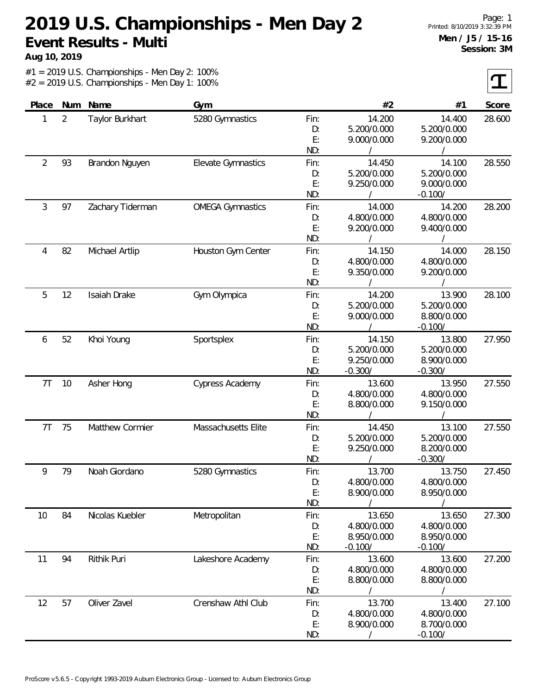**Aug 10, 2019**

 $\tau$ 

| Place<br>$\overline{2}$<br>1 | Num | Name             | Gym                     |      | #2          | #1          | Score  |
|------------------------------|-----|------------------|-------------------------|------|-------------|-------------|--------|
|                              |     |                  |                         |      |             |             |        |
|                              |     | Taylor Burkhart  | 5280 Gymnastics         | Fin: | 14.200      | 14.400      | 28.600 |
|                              |     |                  |                         | D:   | 5.200/0.000 | 5.200/0.000 |        |
|                              |     |                  |                         | E:   | 9.000/0.000 | 9.200/0.000 |        |
|                              |     |                  |                         | ND:  |             |             |        |
| 2                            | 93  | Brandon Nguyen   | Elevate Gymnastics      | Fin: | 14.450      | 14.100      | 28.550 |
|                              |     |                  |                         | D:   | 5.200/0.000 | 5.200/0.000 |        |
|                              |     |                  |                         | E:   | 9.250/0.000 | 9.000/0.000 |        |
|                              |     |                  |                         | ND:  |             | $-0.100/$   |        |
| 3                            | 97  | Zachary Tiderman | <b>OMEGA Gymnastics</b> | Fin: | 14.000      | 14.200      | 28.200 |
|                              |     |                  |                         | D:   | 4.800/0.000 | 4.800/0.000 |        |
|                              |     |                  |                         | E:   | 9.200/0.000 | 9.400/0.000 |        |
|                              |     |                  |                         | ND:  |             |             |        |
| 82<br>4                      |     | Michael Artlip   | Houston Gym Center      | Fin: | 14.150      | 14.000      | 28.150 |
|                              |     |                  |                         | D:   | 4.800/0.000 | 4.800/0.000 |        |
|                              |     |                  |                         | E:   | 9.350/0.000 | 9.200/0.000 |        |
|                              |     |                  |                         | ND:  |             |             |        |
| 5<br>12                      |     | Isaiah Drake     | Gym Olympica            | Fin: | 14.200      | 13.900      | 28.100 |
|                              |     |                  |                         | D:   | 5.200/0.000 | 5.200/0.000 |        |
|                              |     |                  |                         | E:   | 9.000/0.000 | 8.800/0.000 |        |
|                              |     |                  |                         | ND:  |             | $-0.100/$   |        |
| 6                            | 52  | Khoi Young       | Sportsplex              | Fin: | 14.150      | 13.800      | 27.950 |
|                              |     |                  |                         | D:   | 5.200/0.000 | 5.200/0.000 |        |
|                              |     |                  |                         | E:   | 9.250/0.000 | 8.900/0.000 |        |
|                              |     |                  |                         | ND:  | $-0.300/$   | $-0.300/$   |        |
| 7T                           | 10  | Asher Hong       | Cypress Academy         | Fin: | 13.600      | 13.950      | 27.550 |
|                              |     |                  |                         | D:   | 4.800/0.000 | 4.800/0.000 |        |
|                              |     |                  |                         | E:   | 8.800/0.000 | 9.150/0.000 |        |
|                              |     |                  |                         | ND:  |             |             |        |
| 7T                           | 75  | Matthew Cormier  | Massachusetts Elite     | Fin: | 14.450      | 13.100      | 27.550 |
|                              |     |                  |                         | D:   | 5.200/0.000 | 5.200/0.000 |        |
|                              |     |                  |                         | E:   | 9.250/0.000 | 8.200/0.000 |        |
|                              |     |                  |                         | ND:  |             | $-0.300/$   |        |
| 9                            | 79  | Noah Giordano    | 5280 Gymnastics         | Fin: | 13.700      | 13.750      | 27.450 |
|                              |     |                  |                         | D:   | 4.800/0.000 | 4.800/0.000 |        |
|                              |     |                  |                         | E:   | 8.900/0.000 | 8.950/0.000 |        |
|                              |     |                  |                         | ND:  |             |             |        |
| 10                           | 84  | Nicolas Kuebler  | Metropolitan            | Fin: | 13.650      | 13.650      | 27.300 |
|                              |     |                  |                         | D:   | 4.800/0.000 | 4.800/0.000 |        |
|                              |     |                  |                         | E:   | 8.950/0.000 | 8.950/0.000 |        |
|                              |     |                  |                         | ND:  | $-0.100/$   | $-0.100/$   |        |
| 11                           | 94  | Rithik Puri      | Lakeshore Academy       | Fin: | 13.600      | 13.600      | 27.200 |
|                              |     |                  |                         | D:   | 4.800/0.000 | 4.800/0.000 |        |
|                              |     |                  |                         | E:   | 8.800/0.000 | 8.800/0.000 |        |
|                              |     |                  |                         | ND:  |             |             |        |
| 12                           | 57  | Oliver Zavel     | Crenshaw Athl Club      | Fin: | 13.700      | 13.400      | 27.100 |
|                              |     |                  |                         | D:   | 4.800/0.000 | 4.800/0.000 |        |
|                              |     |                  |                         | E:   | 8.900/0.000 | 8.700/0.000 |        |
|                              |     |                  |                         | ND:  |             | $-0.100/$   |        |
|                              |     |                  |                         |      |             |             |        |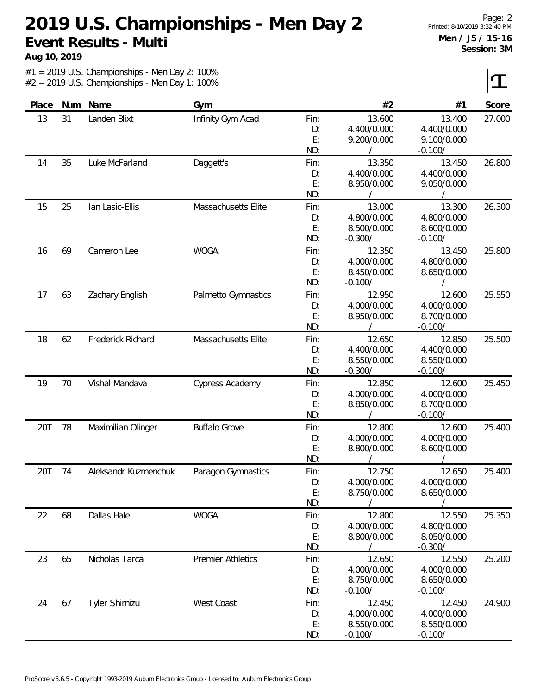**Aug 10, 2019**

 $\tau$ 

| Place    | Num               | Name                 | Gym                      |             | #2          | #1          | Score  |
|----------|-------------------|----------------------|--------------------------|-------------|-------------|-------------|--------|
| 13       | 31                | Landen Blixt         | Infinity Gym Acad        | Fin:        | 13.600      | 13.400      | 27.000 |
|          |                   |                      |                          | D:          | 4.400/0.000 | 4.400/0.000 |        |
|          |                   |                      |                          | E:          | 9.200/0.000 | 9.100/0.000 |        |
|          |                   |                      |                          | ND:         |             | $-0.100/$   |        |
| 14       | 35                | Luke McFarland       | Daggett's                | Fin:        | 13.350      | 13.450      | 26.800 |
|          |                   |                      |                          | D:          | 4.400/0.000 | 4.400/0.000 |        |
|          |                   |                      |                          | E:          | 8.950/0.000 | 9.050/0.000 |        |
|          |                   |                      |                          | ND:         |             |             |        |
| 15       | 25                | lan Lasic-Ellis      | Massachusetts Elite      | Fin:        | 13.000      | 13.300      | 26.300 |
|          |                   |                      |                          | D:          | 4.800/0.000 | 4.800/0.000 |        |
|          |                   |                      |                          | E:          | 8.500/0.000 | 8.600/0.000 |        |
|          |                   |                      |                          | ND:         | $-0.300/$   | $-0.100/$   |        |
| 16       | 69                | Cameron Lee          | <b>WOGA</b>              | Fin:        | 12.350      | 13.450      | 25.800 |
|          |                   |                      |                          | D:          | 4.000/0.000 | 4.800/0.000 |        |
|          |                   |                      |                          | E:          | 8.450/0.000 | 8.650/0.000 |        |
|          |                   |                      |                          | ND:         | $-0.100/$   |             |        |
| 17       | 63                | Zachary English      | Palmetto Gymnastics      | Fin:        | 12.950      | 12.600      | 25.550 |
|          |                   |                      |                          | D:          | 4.000/0.000 | 4.000/0.000 |        |
|          |                   |                      | E:                       | 8.950/0.000 | 8.700/0.000 |             |        |
|          |                   |                      |                          | ND:         |             | $-0.100/$   |        |
| 62<br>18 | Frederick Richard | Massachusetts Elite  | Fin:                     | 12.650      | 12.850      | 25.500      |        |
|          |                   |                      |                          | D:          | 4.400/0.000 | 4.400/0.000 |        |
|          |                   |                      |                          | E:          | 8.550/0.000 | 8.550/0.000 |        |
|          |                   |                      |                          | ND:         | $-0.300/$   | $-0.100/$   |        |
| 19       | 70                | Vishal Mandava       | Cypress Academy          | Fin:        | 12.850      | 12.600      | 25.450 |
|          |                   |                      |                          | D:          | 4.000/0.000 | 4.000/0.000 |        |
|          |                   |                      |                          | E:          | 8.850/0.000 | 8.700/0.000 |        |
|          |                   |                      |                          | ND:         |             | $-0.100/$   |        |
| 20T      | 78                | Maximilian Olinger   | <b>Buffalo Grove</b>     | Fin:        | 12.800      | 12.600      | 25.400 |
|          |                   |                      |                          | D:          | 4.000/0.000 | 4.000/0.000 |        |
|          |                   |                      |                          | E:          | 8.800/0.000 | 8.600/0.000 |        |
|          |                   |                      |                          | ND:         |             |             |        |
| 20T      | 74                | Aleksandr Kuzmenchuk | Paragon Gymnastics       | Fin:        | 12.750      | 12.650      | 25.400 |
|          |                   |                      |                          | D:          | 4.000/0.000 | 4.000/0.000 |        |
|          |                   |                      |                          | E:          | 8.750/0.000 | 8.650/0.000 |        |
|          |                   |                      |                          | ND:         |             |             |        |
| 22       | 68                | Dallas Hale          | <b>WOGA</b>              | Fin:        | 12.800      | 12.550      | 25.350 |
|          |                   |                      |                          | D:          | 4.000/0.000 | 4.800/0.000 |        |
|          |                   |                      |                          | E:          | 8.800/0.000 | 8.050/0.000 |        |
|          |                   |                      |                          | ND:         |             | $-0.300/$   |        |
| 23       | 65                | Nicholas Tarca       | <b>Premier Athletics</b> | Fin:        | 12.650      | 12.550      | 25.200 |
|          |                   |                      |                          | D:          | 4.000/0.000 | 4.000/0.000 |        |
|          |                   |                      |                          | E:          | 8.750/0.000 | 8.650/0.000 |        |
|          |                   |                      |                          | ND:         | $-0.100/$   | $-0.100/$   |        |
| 24       | 67                | Tyler Shimizu        | West Coast               | Fin:        | 12.450      | 12.450      | 24.900 |
|          |                   |                      |                          | D:          | 4.000/0.000 | 4.000/0.000 |        |
|          |                   |                      |                          | E:          | 8.550/0.000 | 8.550/0.000 |        |
|          |                   |                      |                          | ND:         | $-0.100/$   | $-0.100/$   |        |
|          |                   |                      |                          |             |             |             |        |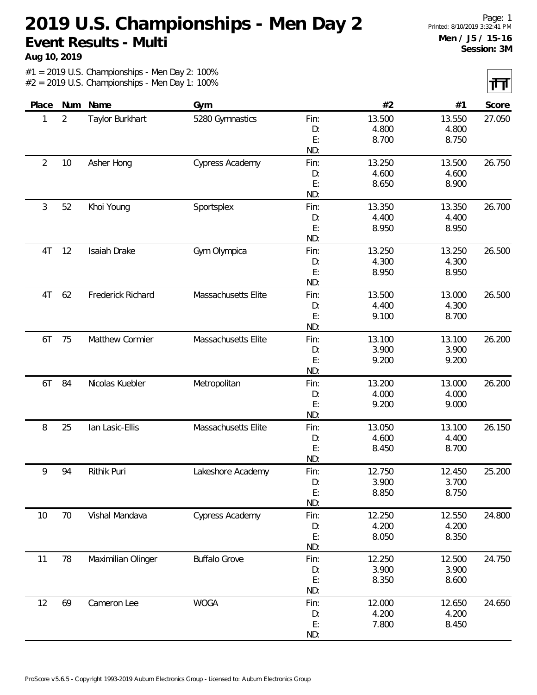**Aug 10, 2019**

 $\overline{\mathbf{H}}$ 

|                |                |                    |                      |          |                 |                | an any |
|----------------|----------------|--------------------|----------------------|----------|-----------------|----------------|--------|
| Place          | Num            | Name               | Gym                  |          | #2              | #1             | Score  |
| 1              | $\overline{2}$ | Taylor Burkhart    | 5280 Gymnastics      | Fin:     | 13.500          | 13.550         | 27.050 |
|                |                |                    |                      | D:       | 4.800           | 4.800          |        |
|                |                |                    |                      | E:       | 8.700           | 8.750          |        |
|                |                |                    |                      | ND:      |                 |                |        |
| $\overline{2}$ | 10             | Asher Hong         | Cypress Academy      | Fin:     | 13.250          | 13.500         | 26.750 |
|                |                |                    |                      | D:       | 4.600           | 4.600          |        |
|                |                |                    |                      | E:       | 8.650           | 8.900          |        |
|                |                |                    |                      | ND:      |                 |                |        |
| 3              | 52             | Khoi Young         | Sportsplex           | Fin:     | 13.350          | 13.350         | 26.700 |
|                |                |                    |                      | D:       | 4.400           | 4.400          |        |
|                |                |                    |                      | E:       | 8.950           | 8.950          |        |
|                |                |                    |                      | ND:      |                 |                |        |
| 4T             | 12             | Isaiah Drake       | Gym Olympica         | Fin:     | 13.250          | 13.250         | 26.500 |
|                |                |                    |                      | D:       | 4.300           | 4.300          |        |
|                |                |                    |                      | E:       | 8.950           | 8.950          |        |
|                |                |                    |                      | ND:      |                 |                |        |
| 4T             | 62             | Frederick Richard  | Massachusetts Elite  | Fin:     | 13.500          | 13.000         | 26.500 |
|                |                |                    |                      | D:       | 4.400           | 4.300          |        |
|                |                |                    |                      | E:       | 9.100           | 8.700          |        |
|                |                |                    |                      | ND:      |                 |                |        |
| 6T             | 75             | Matthew Cormier    | Massachusetts Elite  | Fin:     | 13.100          | 13.100         | 26.200 |
|                |                |                    |                      | D:       | 3.900           | 3.900          |        |
|                |                |                    |                      | E:       | 9.200           | 9.200          |        |
|                |                |                    |                      | ND:      |                 |                |        |
| 6T             | 84             | Nicolas Kuebler    | Metropolitan         | Fin:     | 13.200          | 13.000         | 26.200 |
|                |                |                    |                      | D:       | 4.000           | 4.000          |        |
|                |                |                    |                      | E:       | 9.200           | 9.000          |        |
|                |                |                    |                      | ND:      |                 |                |        |
| 8              | 25             | lan Lasic-Ellis    | Massachusetts Elite  | Fin:     | 13.050<br>4.600 | 13.100         | 26.150 |
|                |                |                    |                      | D:<br>E: | 8.450           | 4.400<br>8.700 |        |
|                |                |                    |                      | ND:      |                 |                |        |
| 9              | 94             | Rithik Puri        | Lakeshore Academy    | Fin:     | 12.750          | 12.450         | 25.200 |
|                |                |                    |                      | D:       | 3.900           | 3.700          |        |
|                |                |                    |                      | E:       | 8.850           | 8.750          |        |
|                |                |                    |                      | ND:      |                 |                |        |
| 10             | 70             | Vishal Mandava     | Cypress Academy      | Fin:     | 12.250          | 12.550         | 24.800 |
|                |                |                    |                      | D:       | 4.200           | 4.200          |        |
|                |                |                    |                      | E:       | 8.050           | 8.350          |        |
|                |                |                    |                      | ND:      |                 |                |        |
| 11             | 78             | Maximilian Olinger | <b>Buffalo Grove</b> | Fin:     | 12.250          | 12.500         | 24.750 |
|                |                |                    |                      | D:       | 3.900           | 3.900          |        |
|                |                |                    |                      | E:       | 8.350           | 8.600          |        |
|                |                |                    |                      | ND:      |                 |                |        |
| 12             | 69             | Cameron Lee        | <b>WOGA</b>          | Fin:     | 12.000          | 12.650         | 24.650 |
|                |                |                    |                      | D:       | 4.200           | 4.200          |        |
|                |                |                    |                      | E:       | 7.800           | 8.450          |        |
|                |                |                    |                      |          |                 |                |        |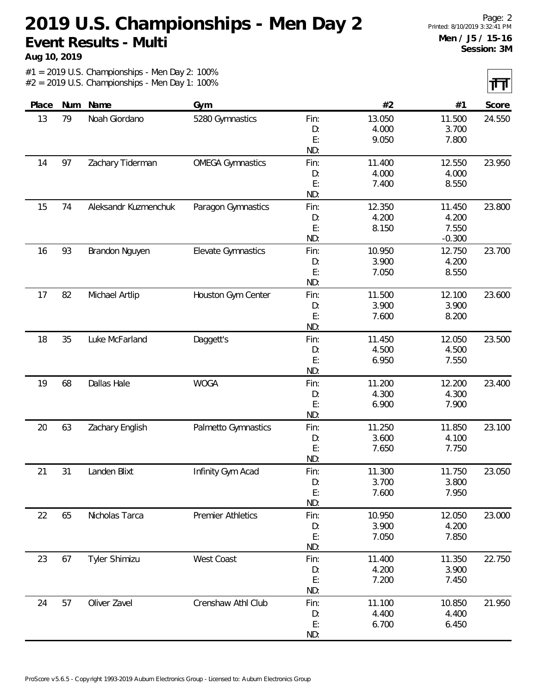**Aug 10, 2019**

 $\overline{\mathbf{H}}$ 

|       |     |                      |                          |            |                 |                 | .      |
|-------|-----|----------------------|--------------------------|------------|-----------------|-----------------|--------|
| Place | Num | Name                 | Gym                      |            | #2              | #1              | Score  |
| 13    | 79  | Noah Giordano        | 5280 Gymnastics          | Fin:       | 13.050          | 11.500          | 24.550 |
|       |     |                      |                          | D:         | 4.000           | 3.700           |        |
|       |     |                      |                          | E:         | 9.050           | 7.800           |        |
|       |     |                      |                          | ND:        |                 |                 |        |
| 14    | 97  | Zachary Tiderman     | <b>OMEGA Gymnastics</b>  | Fin:       | 11.400          | 12.550          | 23.950 |
|       |     |                      |                          | D:         | 4.000           | 4.000           |        |
|       |     |                      |                          | E:         | 7.400           | 8.550           |        |
|       |     |                      |                          | ND:        |                 |                 |        |
| 15    | 74  | Aleksandr Kuzmenchuk | Paragon Gymnastics       | Fin:       | 12.350          | 11.450          | 23.800 |
|       |     |                      |                          | D:         | 4.200           | 4.200           |        |
|       |     |                      |                          | E:         | 8.150           | 7.550           |        |
|       |     |                      |                          | ND:        |                 | $-0.300$        |        |
| 16    | 93  | Brandon Nguyen       | Elevate Gymnastics       | Fin:       | 10.950          | 12.750          | 23.700 |
|       |     |                      |                          | D:         | 3.900           | 4.200           |        |
|       |     |                      |                          | E:<br>ND:  | 7.050           | 8.550           |        |
|       |     |                      |                          |            |                 |                 |        |
| 17    | 82  | Michael Artlip       | Houston Gym Center       | Fin:       | 11.500<br>3.900 | 12.100<br>3.900 | 23.600 |
|       |     |                      |                          | D:<br>E:   | 7.600           | 8.200           |        |
|       |     |                      |                          | ND:        |                 |                 |        |
| 18    | 35  | Luke McFarland       | Daggett's                | Fin:       | 11.450          | 12.050          | 23.500 |
|       |     |                      |                          | D:         | 4.500           | 4.500           |        |
|       |     |                      |                          | E:         | 6.950           | 7.550           |        |
|       |     |                      |                          | ND:        |                 |                 |        |
| 19    | 68  | Dallas Hale          | <b>WOGA</b>              | Fin:       | 11.200          | 12.200          | 23.400 |
|       |     |                      |                          | D:         | 4.300           | 4.300           |        |
|       |     |                      |                          | E:         | 6.900           | 7.900           |        |
|       |     |                      |                          | ND:        |                 |                 |        |
| 20    | 63  | Zachary English      | Palmetto Gymnastics      | Fin:       | 11.250          | 11.850          | 23.100 |
|       |     |                      |                          | D:         | 3.600           | 4.100           |        |
|       |     |                      |                          | E:         | 7.650           | 7.750           |        |
|       |     |                      |                          | ND:        |                 |                 |        |
| 21    | 31  | Landen Blixt         | Infinity Gym Acad        | Fin:       | 11.300          | 11.750          | 23.050 |
|       |     |                      |                          | D:         | 3.700           | 3.800           |        |
|       |     |                      |                          | E:         | 7.600           | 7.950           |        |
|       |     |                      |                          | ND:        |                 |                 |        |
| 22    | 65  | Nicholas Tarca       | <b>Premier Athletics</b> | Fin:       | 10.950          | 12.050          | 23.000 |
|       |     |                      |                          | D:         | 3.900           | 4.200           |        |
|       |     |                      |                          | E:<br>ND:  | 7.050           | 7.850           |        |
| 23    | 67  | Tyler Shimizu        | West Coast               |            | 11.400          | 11.350          | 22.750 |
|       |     |                      |                          | Fin:<br>D: | 4.200           | 3.900           |        |
|       |     |                      |                          | E:         | 7.200           | 7.450           |        |
|       |     |                      |                          | ND:        |                 |                 |        |
| 24    | 57  | Oliver Zavel         | Crenshaw Athl Club       | Fin:       | 11.100          | 10.850          | 21.950 |
|       |     |                      |                          | D:         | 4.400           | 4.400           |        |
|       |     |                      |                          | E:         | 6.700           | 6.450           |        |
|       |     |                      |                          | ND:        |                 |                 |        |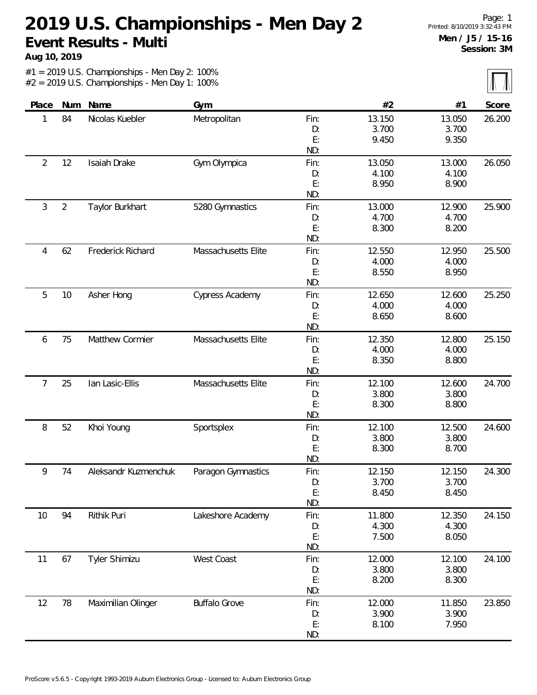**Aug 10, 2019**

 $\sqrt{}$ 

| Score  | #1     | #2     |      | Gym                    | Name                 | Num            | Place      |
|--------|--------|--------|------|------------------------|----------------------|----------------|------------|
| 26.200 | 13.050 | 13.150 | Fin: | Metropolitan           | Nicolas Kuebler      | 84             | 1          |
|        | 3.700  | 3.700  | D:   |                        |                      |                |            |
|        | 9.350  | 9.450  | E:   |                        |                      |                |            |
|        |        |        | ND:  |                        |                      |                |            |
| 26.050 | 13.000 | 13.050 | Fin: | Gym Olympica           | Isaiah Drake         | 12             | $\sqrt{2}$ |
|        | 4.100  | 4.100  | D:   |                        |                      |                |            |
|        | 8.900  | 8.950  | E:   |                        |                      |                |            |
|        |        |        | ND:  |                        |                      |                |            |
| 25.900 | 12.900 | 13.000 | Fin: | 5280 Gymnastics        | Taylor Burkhart      | $\overline{2}$ | 3          |
|        | 4.700  | 4.700  | D:   |                        |                      |                |            |
|        | 8.200  | 8.300  | E:   |                        |                      |                |            |
|        |        |        | ND:  |                        |                      |                |            |
| 25.500 | 12.950 | 12.550 | Fin: | Massachusetts Elite    | Frederick Richard    | 62             | 4          |
|        | 4.000  | 4.000  | D:   |                        |                      |                |            |
|        | 8.950  | 8.550  | E:   |                        |                      |                |            |
|        |        |        | ND:  |                        |                      |                |            |
| 25.250 | 12.600 | 12.650 | Fin: | <b>Cypress Academy</b> | Asher Hong           | 10             | 5          |
|        | 4.000  | 4.000  | D:   |                        |                      |                |            |
|        | 8.600  | 8.650  | E:   |                        |                      |                |            |
|        |        |        | ND:  |                        |                      |                |            |
| 25.150 | 12.800 | 12.350 | Fin: | Massachusetts Elite    | Matthew Cormier      | 75             | 6          |
|        | 4.000  | 4.000  | D:   |                        |                      |                |            |
|        | 8.800  | 8.350  | E:   |                        |                      |                |            |
|        |        |        | ND:  |                        |                      |                |            |
| 24.700 | 12.600 | 12.100 | Fin: | Massachusetts Elite    | lan Lasic-Ellis      | 25             | 7          |
|        | 3.800  | 3.800  | D:   |                        |                      |                |            |
|        | 8.800  | 8.300  | E:   |                        |                      |                |            |
|        |        |        | ND:  |                        |                      |                |            |
| 24.600 | 12.500 | 12.100 | Fin: | Sportsplex             | Khoi Young           | 52             | 8          |
|        | 3.800  | 3.800  | D:   |                        |                      |                |            |
|        | 8.700  | 8.300  | E:   |                        |                      |                |            |
|        |        |        | ND:  |                        |                      |                |            |
| 24.300 | 12.150 | 12.150 | Fin: | Paragon Gymnastics     | Aleksandr Kuzmenchuk | 74             | 9          |
|        | 3.700  | 3.700  | D:   |                        |                      |                |            |
|        | 8.450  | 8.450  | E:   |                        |                      |                |            |
|        |        |        | ND:  |                        |                      |                |            |
| 24.150 | 12.350 | 11.800 | Fin: | Lakeshore Academy      | Rithik Puri          | 94             | 10         |
|        | 4.300  | 4.300  | D:   |                        |                      |                |            |
|        | 8.050  | 7.500  | E:   |                        |                      |                |            |
|        |        |        | ND:  |                        |                      |                |            |
| 24.100 | 12.100 | 12.000 | Fin: | West Coast             | Tyler Shimizu        | 67             | 11         |
|        | 3.800  | 3.800  | D:   |                        |                      |                |            |
|        | 8.300  | 8.200  | E:   |                        |                      |                |            |
|        |        |        | ND:  |                        |                      |                |            |
| 23.850 | 11.850 | 12.000 | Fin: | <b>Buffalo Grove</b>   | Maximilian Olinger   | 78             | 12         |
|        | 3.900  | 3.900  | D:   |                        |                      |                |            |
|        | 7.950  | 8.100  | E:   |                        |                      |                |            |
|        |        |        | ND:  |                        |                      |                |            |